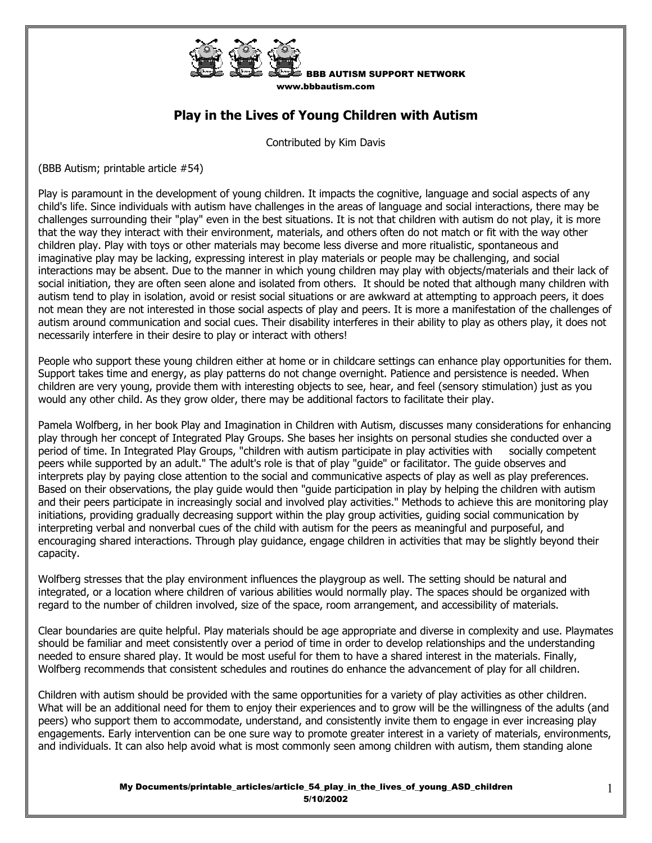

www.bbbautism.com

BBB AUTISM SUPPORT NETWORK

## **Play in the Lives of Young Children with Autism**

Contributed by Kim Davis

(BBB Autism; printable article #54)

Play is paramount in the development of young children. It impacts the cognitive, language and social aspects of any child's life. Since individuals with autism have challenges in the areas of language and social interactions, there may be challenges surrounding their "play" even in the best situations. It is not that children with autism do not play, it is more that the way they interact with their environment, materials, and others often do not match or fit with the way other children play. Play with toys or other materials may become less diverse and more ritualistic, spontaneous and imaginative play may be lacking, expressing interest in play materials or people may be challenging, and social interactions may be absent. Due to the manner in which young children may play with objects/materials and their lack of social initiation, they are often seen alone and isolated from others. It should be noted that although many children with autism tend to play in isolation, avoid or resist social situations or are awkward at attempting to approach peers, it does not mean they are not interested in those social aspects of play and peers. It is more a manifestation of the challenges of autism around communication and social cues. Their disability interferes in their ability to play as others play, it does not necessarily interfere in their desire to play or interact with others!

People who support these young children either at home or in childcare settings can enhance play opportunities for them. Support takes time and energy, as play patterns do not change overnight. Patience and persistence is needed. When children are very young, provide them with interesting objects to see, hear, and feel (sensory stimulation) just as you would any other child. As they grow older, there may be additional factors to facilitate their play.

Pamela Wolfberg, in her book Play and Imagination in Children with Autism, discusses many considerations for enhancing play through her concept of Integrated Play Groups. She bases her insights on personal studies she conducted over a period of time. In Integrated Play Groups, "children with autism participate in play activities with socially competent peers while supported by an adult." The adult's role is that of play "guide" or facilitator. The guide observes and interprets play by paying close attention to the social and communicative aspects of play as well as play preferences. Based on their observations, the play guide would then "guide participation in play by helping the children with autism and their peers participate in increasingly social and involved play activities." Methods to achieve this are monitoring play initiations, providing gradually decreasing support within the play group activities, guiding social communication by interpreting verbal and nonverbal cues of the child with autism for the peers as meaningful and purposeful, and encouraging shared interactions. Through play guidance, engage children in activities that may be slightly beyond their capacity.

Wolfberg stresses that the play environment influences the playgroup as well. The setting should be natural and integrated, or a location where children of various abilities would normally play. The spaces should be organized with regard to the number of children involved, size of the space, room arrangement, and accessibility of materials.

Clear boundaries are quite helpful. Play materials should be age appropriate and diverse in complexity and use. Playmates should be familiar and meet consistently over a period of time in order to develop relationships and the understanding needed to ensure shared play. It would be most useful for them to have a shared interest in the materials. Finally, Wolfberg recommends that consistent schedules and routines do enhance the advancement of play for all children.

Children with autism should be provided with the same opportunities for a variety of play activities as other children. What will be an additional need for them to enjoy their experiences and to grow will be the willingness of the adults (and peers) who support them to accommodate, understand, and consistently invite them to engage in ever increasing play engagements. Early intervention can be one sure way to promote greater interest in a variety of materials, environments, and individuals. It can also help avoid what is most commonly seen among children with autism, them standing alone

> My Documents/printable\_articles/article\_54\_play\_in\_the\_lives\_of\_young\_ASD\_children 5/10/2002

1